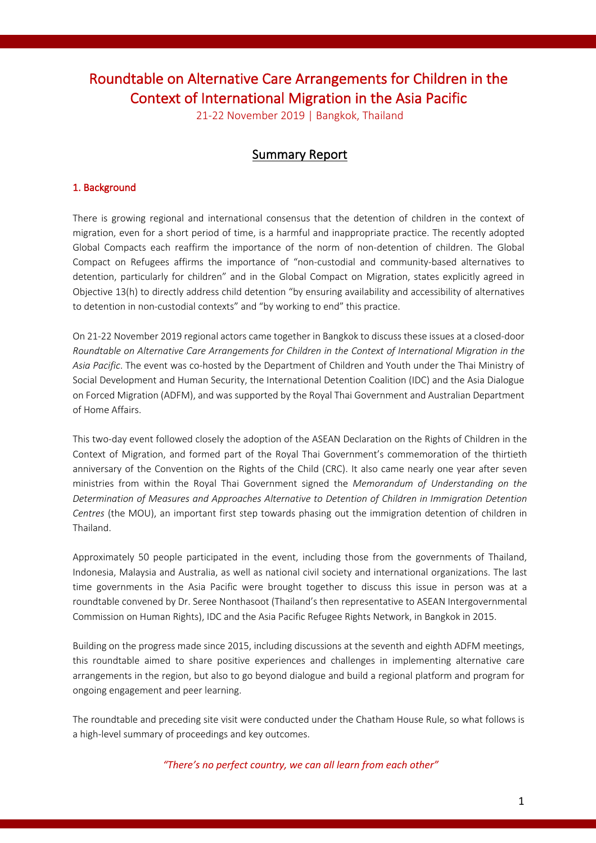# Roundtable on Alternative Care Arrangements for Children in the Context of International Migration in the Asia Pacific

21-22 November 2019 | Bangkok, Thailand

# Summary Report

# 1. Background

There is growing regional and international consensus that the detention of children in the context of migration, even for a short period of time, is a harmful and inappropriate practice. The recently adopted Global Compacts each reaffirm the importance of the norm of non-detention of children. The Global Compact on Refugees affirms the importance of "non-custodial and community-based alternatives to detention, particularly for children" and in the Global Compact on Migration, states explicitly agreed in Objective 13(h) to directly address child detention "by ensuring availability and accessibility of alternatives to detention in non-custodial contexts" and "by working to end" this practice.

On 21-22 November 2019 regional actors came together in Bangkok to discuss these issues at a closed-door *Roundtable on Alternative Care Arrangements for Children in the Context of International Migration in the Asia Pacific*. The event was co-hosted by the Department of Children and Youth under the Thai Ministry of Social Development and Human Security, the International Detention Coalition (IDC) and the Asia Dialogue on Forced Migration (ADFM), and was supported by the Royal Thai Government and Australian Department of Home Affairs.

This two-day event followed closely the adoption of the ASEAN Declaration on the Rights of Children in the Context of Migration, and formed part of the Royal Thai Government's commemoration of the thirtieth anniversary of the Convention on the Rights of the Child (CRC). It also came nearly one year after seven ministries from within the Royal Thai Government signed the *Memorandum of Understanding on the Determination of Measures and Approaches Alternative to Detention of Children in Immigration Detention Centres* (the MOU), an important first step towards phasing out the immigration detention of children in Thailand.

Approximately 50 people participated in the event, including those from the governments of Thailand, Indonesia, Malaysia and Australia, as well as national civil society and international organizations. The last time governments in the Asia Pacific were brought together to discuss this issue in person was at a roundtable convened by Dr. Seree Nonthasoot (Thailand's then representative to ASEAN Intergovernmental Commission on Human Rights), IDC and the Asia Pacific Refugee Rights Network, in Bangkok in 2015.

Building on the progress made since 2015, including discussions at the seventh and eighth ADFM meetings, this roundtable aimed to share positive experiences and challenges in implementing alternative care arrangements in the region, but also to go beyond dialogue and build a regional platform and program for ongoing engagement and peer learning.

The roundtable and preceding site visit were conducted under the Chatham House Rule, so what follows is a high-level summary of proceedings and key outcomes.

*"There's no perfect country, we can all learn from each other"*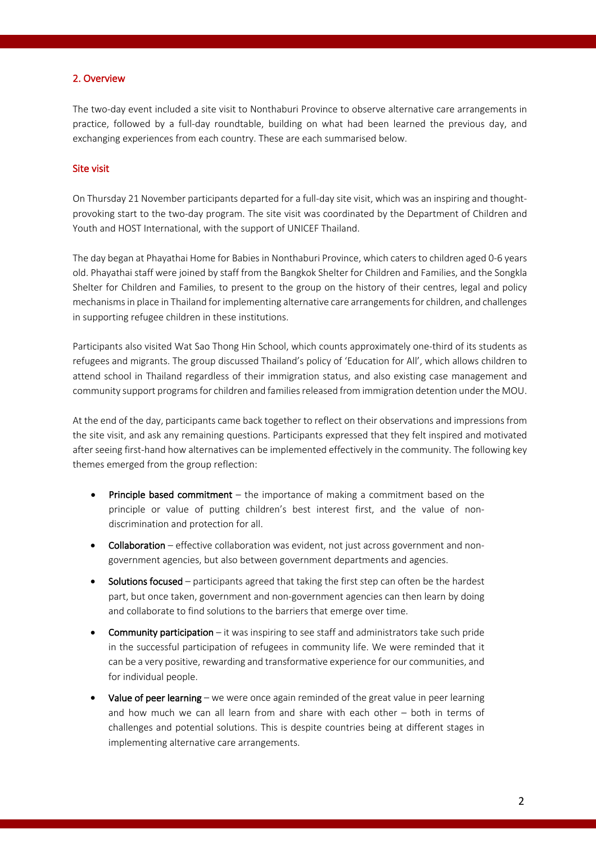## 2. Overview

The two-day event included a site visit to Nonthaburi Province to observe alternative care arrangements in practice, followed by a full-day roundtable, building on what had been learned the previous day, and exchanging experiences from each country. These are each summarised below.

## Site visit

On Thursday 21 November participants departed for a full-day site visit, which was an inspiring and thoughtprovoking start to the two-day program. The site visit was coordinated by the Department of Children and Youth and HOST International, with the support of UNICEF Thailand.

The day began at Phayathai Home for Babies in Nonthaburi Province, which caters to children aged 0-6 years old. Phayathai staff were joined by staff from the Bangkok Shelter for Children and Families, and the Songkla Shelter for Children and Families, to present to the group on the history of their centres, legal and policy mechanisms in place in Thailand for implementing alternative care arrangements for children, and challenges in supporting refugee children in these institutions.

Participants also visited Wat Sao Thong Hin School, which counts approximately one-third of its students as refugees and migrants. The group discussed Thailand's policy of 'Education for All', which allows children to attend school in Thailand regardless of their immigration status, and also existing case management and community support programsfor children and families released from immigration detention under the MOU.

At the end of the day, participants came back together to reflect on their observations and impressions from the site visit, and ask any remaining questions. Participants expressed that they felt inspired and motivated after seeing first-hand how alternatives can be implemented effectively in the community. The following key themes emerged from the group reflection:

- Principle based commitment the importance of making a commitment based on the principle or value of putting children's best interest first, and the value of nondiscrimination and protection for all.
- Collaboration effective collaboration was evident, not just across government and nongovernment agencies, but also between government departments and agencies.
- Solutions focused participants agreed that taking the first step can often be the hardest part, but once taken, government and non-government agencies can then learn by doing and collaborate to find solutions to the barriers that emerge over time.
- Community participation it was inspiring to see staff and administrators take such pride in the successful participation of refugees in community life. We were reminded that it can be a very positive, rewarding and transformative experience for our communities, and for individual people.
- Value of peer learning we were once again reminded of the great value in peer learning and how much we can all learn from and share with each other – both in terms of challenges and potential solutions. This is despite countries being at different stages in implementing alternative care arrangements.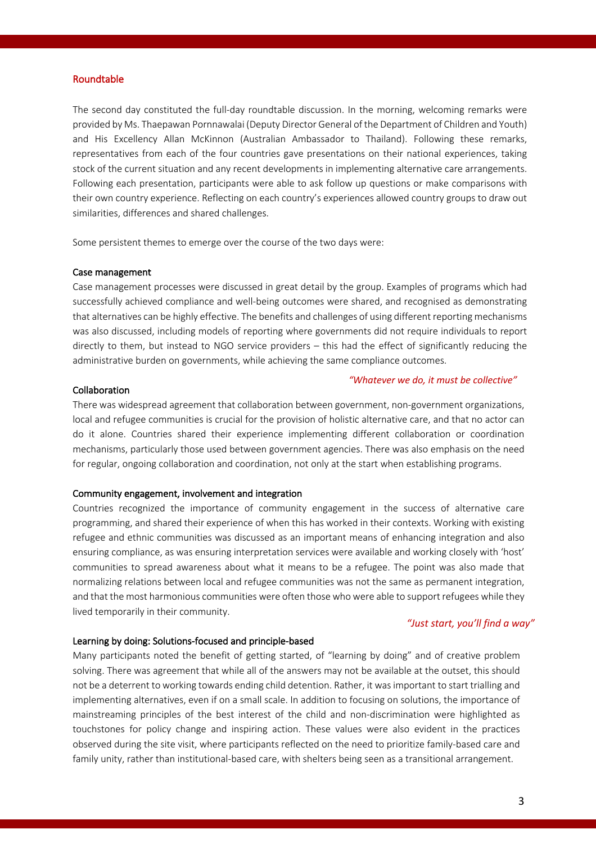#### Roundtable

The second day constituted the full-day roundtable discussion. In the morning, welcoming remarks were provided by Ms. Thaepawan Pornnawalai (Deputy Director General of the Department of Children and Youth) and His Excellency Allan McKinnon (Australian Ambassador to Thailand). Following these remarks, representatives from each of the four countries gave presentations on their national experiences, taking stock of the current situation and any recent developments in implementing alternative care arrangements. Following each presentation, participants were able to ask follow up questions or make comparisons with their own country experience. Reflecting on each country's experiences allowed country groups to draw out similarities, differences and shared challenges.

Some persistent themes to emerge over the course of the two days were:

#### Case management

Case management processes were discussed in great detail by the group. Examples of programs which had successfully achieved compliance and well-being outcomes were shared, and recognised as demonstrating that alternatives can be highly effective. The benefits and challenges of using different reporting mechanisms was also discussed, including models of reporting where governments did not require individuals to report directly to them, but instead to NGO service providers – this had the effect of significantly reducing the administrative burden on governments, while achieving the same compliance outcomes.

#### *"Whatever we do, it must be collective"*

#### Collaboration

There was widespread agreement that collaboration between government, non-government organizations, local and refugee communities is crucial for the provision of holistic alternative care, and that no actor can do it alone. Countries shared their experience implementing different collaboration or coordination mechanisms, particularly those used between government agencies. There was also emphasis on the need for regular, ongoing collaboration and coordination, not only at the start when establishing programs.

#### Community engagement, involvement and integration

Countries recognized the importance of community engagement in the success of alternative care programming, and shared their experience of when this has worked in their contexts. Working with existing refugee and ethnic communities was discussed as an important means of enhancing integration and also ensuring compliance, as was ensuring interpretation services were available and working closely with 'host' communities to spread awareness about what it means to be a refugee. The point was also made that normalizing relations between local and refugee communities was not the same as permanent integration, and that the most harmonious communities were often those who were able to support refugees while they lived temporarily in their community.

#### *"Just start, you'll find a way"*

#### Learning by doing: Solutions-focused and principle-based

Many participants noted the benefit of getting started, of "learning by doing" and of creative problem solving. There was agreement that while all of the answers may not be available at the outset, this should not be a deterrent to working towards ending child detention. Rather, it was important to start trialling and implementing alternatives, even if on a small scale. In addition to focusing on solutions, the importance of mainstreaming principles of the best interest of the child and non-discrimination were highlighted as touchstones for policy change and inspiring action. These values were also evident in the practices observed during the site visit, where participants reflected on the need to prioritize family-based care and family unity, rather than institutional-based care, with shelters being seen as a transitional arrangement.